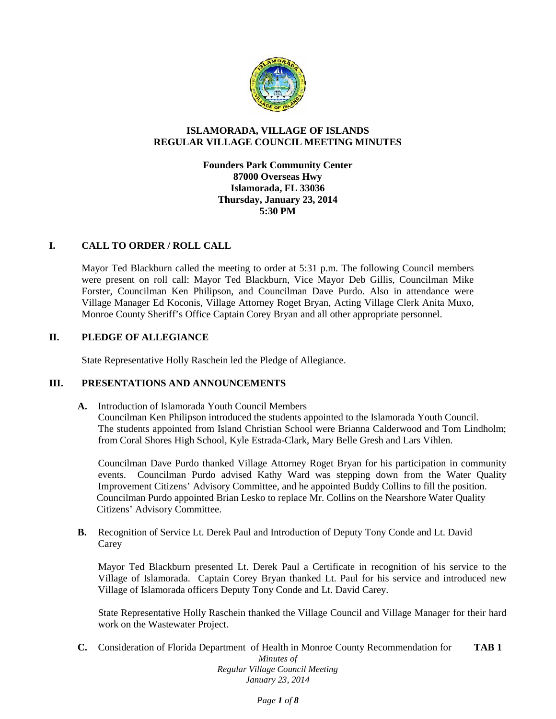

# **ISLAMORADA, VILLAGE OF ISLANDS REGULAR VILLAGE COUNCIL MEETING MINUTES**

**Founders Park Community Center 87000 Overseas Hwy Islamorada, FL 33036 Thursday, January 23, 2014 5:30 PM**

# **I. CALL TO ORDER / ROLL CALL**

Mayor Ted Blackburn called the meeting to order at 5:31 p.m. The following Council members were present on roll call: Mayor Ted Blackburn, Vice Mayor Deb Gillis, Councilman Mike Forster, Councilman Ken Philipson, and Councilman Dave Purdo. Also in attendance were Village Manager Ed Koconis, Village Attorney Roget Bryan, Acting Village Clerk Anita Muxo, Monroe County Sheriff's Office Captain Corey Bryan and all other appropriate personnel.

# **II. PLEDGE OF ALLEGIANCE**

State Representative Holly Raschein led the Pledge of Allegiance.

## **III. PRESENTATIONS AND ANNOUNCEMENTS**

**A.** Introduction of Islamorada Youth Council Members Councilman Ken Philipson introduced the students appointed to the Islamorada Youth Council. The students appointed from Island Christian School were Brianna Calderwood and Tom Lindholm; from Coral Shores High School, Kyle Estrada-Clark, Mary Belle Gresh and Lars Vihlen.

Councilman Dave Purdo thanked Village Attorney Roget Bryan for his participation in community events. Councilman Purdo advised Kathy Ward was stepping down from the Water Quality Improvement Citizens' Advisory Committee, and he appointed Buddy Collins to fill the position. Councilman Purdo appointed Brian Lesko to replace Mr. Collins on the Nearshore Water Quality Citizens' Advisory Committee.

**B.** Recognition of Service Lt. Derek Paul and Introduction of Deputy Tony Conde and Lt. David Carey

Mayor Ted Blackburn presented Lt. Derek Paul a Certificate in recognition of his service to the Village of Islamorada. Captain Corey Bryan thanked Lt. Paul for his service and introduced new Village of Islamorada officers Deputy Tony Conde and Lt. David Carey.

State Representative Holly Raschein thanked the Village Council and Village Manager for their hard work on the Wastewater Project.

*Minutes of Regular Village Council Meeting January 23, 2014* **C.** Consideration of Florida Department of Health in Monroe County Recommendation for **TAB 1**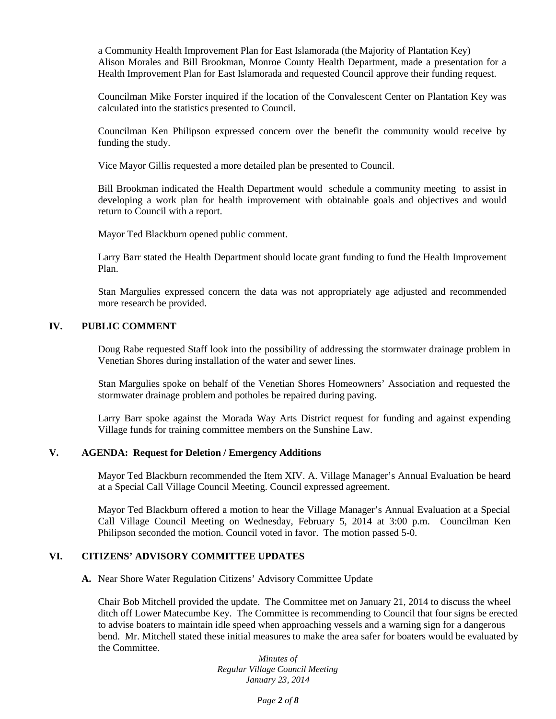a Community Health Improvement Plan for East Islamorada (the Majority of Plantation Key) Alison Morales and Bill Brookman, Monroe County Health Department, made a presentation for a Health Improvement Plan for East Islamorada and requested Council approve their funding request.

Councilman Mike Forster inquired if the location of the Convalescent Center on Plantation Key was calculated into the statistics presented to Council.

Councilman Ken Philipson expressed concern over the benefit the community would receive by funding the study.

Vice Mayor Gillis requested a more detailed plan be presented to Council.

Bill Brookman indicated the Health Department would schedule a community meeting to assist in developing a work plan for health improvement with obtainable goals and objectives and would return to Council with a report.

Mayor Ted Blackburn opened public comment.

Larry Barr stated the Health Department should locate grant funding to fund the Health Improvement Plan.

Stan Margulies expressed concern the data was not appropriately age adjusted and recommended more research be provided.

## **IV. PUBLIC COMMENT**

Doug Rabe requested Staff look into the possibility of addressing the stormwater drainage problem in Venetian Shores during installation of the water and sewer lines.

Stan Margulies spoke on behalf of the Venetian Shores Homeowners' Association and requested the stormwater drainage problem and potholes be repaired during paving.

Larry Barr spoke against the Morada Way Arts District request for funding and against expending Village funds for training committee members on the Sunshine Law.

#### **V. AGENDA: Request for Deletion / Emergency Additions**

Mayor Ted Blackburn recommended the Item XIV. A. Village Manager's Annual Evaluation be heard at a Special Call Village Council Meeting. Council expressed agreement.

Mayor Ted Blackburn offered a motion to hear the Village Manager's Annual Evaluation at a Special Call Village Council Meeting on Wednesday, February 5, 2014 at 3:00 p.m. Councilman Ken Philipson seconded the motion. Council voted in favor. The motion passed 5-0.

## **VI. CITIZENS' ADVISORY COMMITTEE UPDATES**

**A.** Near Shore Water Regulation Citizens' Advisory Committee Update

Chair Bob Mitchell provided the update. The Committee met on January 21, 2014 to discuss the wheel ditch off Lower Matecumbe Key. The Committee is recommending to Council that four signs be erected to advise boaters to maintain idle speed when approaching vessels and a warning sign for a dangerous bend. Mr. Mitchell stated these initial measures to make the area safer for boaters would be evaluated by the Committee.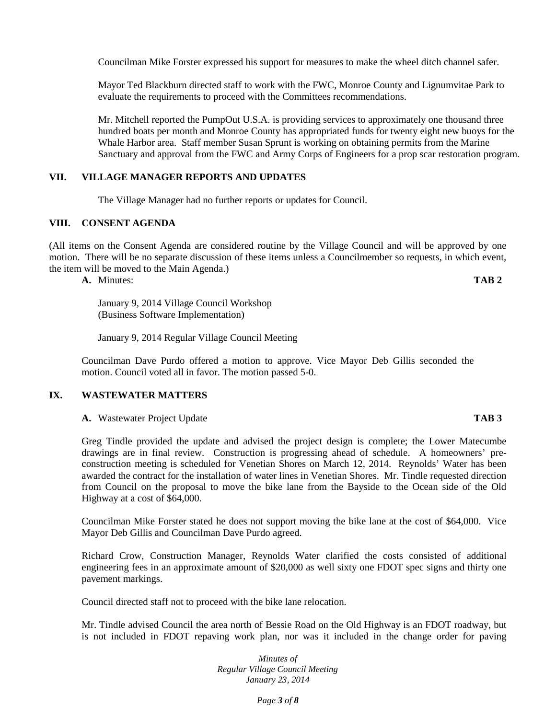Councilman Mike Forster expressed his support for measures to make the wheel ditch channel safer.

Mayor Ted Blackburn directed staff to work with the FWC, Monroe County and Lignumvitae Park to evaluate the requirements to proceed with the Committees recommendations.

Mr. Mitchell reported the PumpOut U.S.A. is providing services to approximately one thousand three hundred boats per month and Monroe County has appropriated funds for twenty eight new buoys for the Whale Harbor area. Staff member Susan Sprunt is working on obtaining permits from the Marine Sanctuary and approval from the FWC and Army Corps of Engineers for a prop scar restoration program.

## **VII. VILLAGE MANAGER REPORTS AND UPDATES**

The Village Manager had no further reports or updates for Council.

#### **VIII. CONSENT AGENDA**

(All items on the Consent Agenda are considered routine by the Village Council and will be approved by one motion. There will be no separate discussion of these items unless a Councilmember so requests, in which event, the item will be moved to the Main Agenda.)

**A.** Minutes: **TAB 2**

January 9, 2014 Village Council Workshop (Business Software Implementation)

January 9, 2014 Regular Village Council Meeting

Councilman Dave Purdo offered a motion to approve. Vice Mayor Deb Gillis seconded the motion. Council voted all in favor. The motion passed 5-0.

#### **IX. WASTEWATER MATTERS**

**A.** Wastewater Project Update **TAB 3**

Greg Tindle provided the update and advised the project design is complete; the Lower Matecumbe drawings are in final review. Construction is progressing ahead of schedule. A homeowners' pre construction meeting is scheduled for Venetian Shores on March 12, 2014. Reynolds' Water has been awarded the contract for the installation of water lines in Venetian Shores. Mr. Tindle requested direction from Council on the proposal to move the bike lane from the Bayside to the Ocean side of the Old Highway at a cost of \$64,000.

Councilman Mike Forster stated he does not support moving the bike lane at the cost of \$64,000. Vice Mayor Deb Gillis and Councilman Dave Purdo agreed.

Richard Crow, Construction Manager, Reynolds Water clarified the costs consisted of additional engineering fees in an approximate amount of \$20,000 as well sixty one FDOT spec signs and thirty one pavement markings.

Council directed staff not to proceed with the bike lane relocation.

Mr. Tindle advised Council the area north of Bessie Road on the Old Highway is an FDOT roadway, but is not included in FDOT repaving work plan, nor was it included in the change order for paving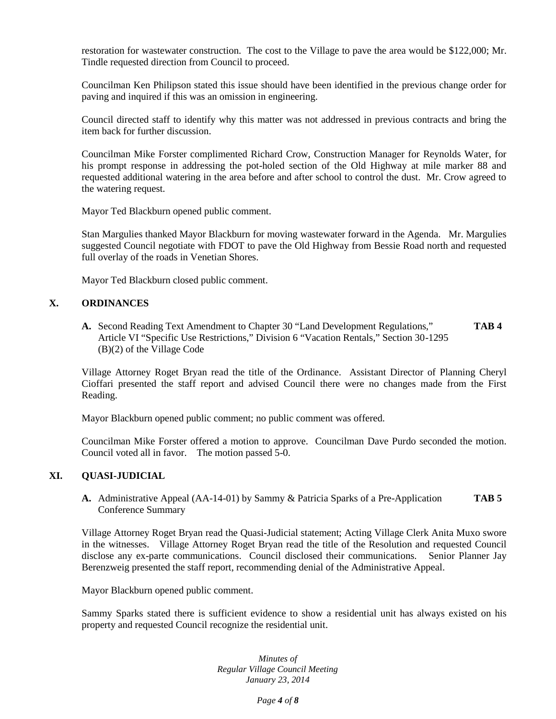restoration for wastewater construction. The cost to the Village to pave the area would be \$122,000; Mr. Tindle requested direction from Council to proceed.

Councilman Ken Philipson stated this issue should have been identified in the previous change order for paving and inquired if this was an omission in engineering.

Council directed staff to identify why this matter was not addressed in previous contracts and bring the item back for further discussion.

Councilman Mike Forster complimented Richard Crow, Construction Manager for Reynolds Water, for his prompt response in addressing the pot-holed section of the Old Highway at mile marker 88 and requested additional watering in the area before and after school to control the dust. Mr. Crow agreed to the watering request.

Mayor Ted Blackburn opened public comment.

Stan Margulies thanked Mayor Blackburn for moving wastewater forward in the Agenda. Mr. Margulies suggested Council negotiate with FDOT to pave the Old Highway from Bessie Road north and requested full overlay of the roads in Venetian Shores.

Mayor Ted Blackburn closed public comment.

## **X. ORDINANCES**

**A.** Second Reading Text Amendment to Chapter 30 "Land Development Regulations," **TAB 4** Article VI "Specific Use Restrictions," Division 6 "Vacation Rentals," Section 30-1295 (B)(2) of the Village Code

Village Attorney Roget Bryan read the title of the Ordinance. Assistant Director of Planning Cheryl Cioffari presented the staff report and advised Council there were no changes made from the First Reading.

Mayor Blackburn opened public comment; no public comment was offered.

Councilman Mike Forster offered a motion to approve. Councilman Dave Purdo seconded the motion. Council voted all in favor. The motion passed 5-0.

# **XI. QUASI-JUDICIAL**

**A.** Administrative Appeal (AA-14-01) by Sammy & Patricia Sparks of a Pre-Application **TAB 5** Conference Summary

Village Attorney Roget Bryan read the Quasi-Judicial statement; Acting Village Clerk Anita Muxo swore in the witnesses. Village Attorney Roget Bryan read the title of the Resolution and requested Council disclose any ex-parte communications. Council disclosed their communications. Senior Planner Jay Berenzweig presented the staff report, recommending denial of the Administrative Appeal.

Mayor Blackburn opened public comment.

Sammy Sparks stated there is sufficient evidence to show a residential unit has always existed on his property and requested Council recognize the residential unit.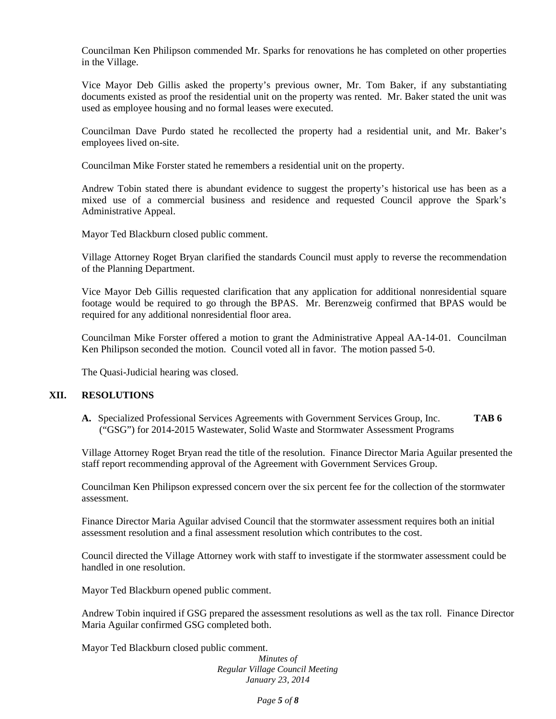Councilman Ken Philipson commended Mr. Sparks for renovations he has completed on other properties in the Village.

Vice Mayor Deb Gillis asked the property's previous owner, Mr. Tom Baker, if any substantiating documents existed as proof the residential unit on the property was rented. Mr. Baker stated the unit was used as employee housing and no formal leases were executed.

Councilman Dave Purdo stated he recollected the property had a residential unit, and Mr. Baker's employees lived on-site.

Councilman Mike Forster stated he remembers a residential unit on the property.

Andrew Tobin stated there is abundant evidence to suggest the property's historical use has been as a mixed use of a commercial business and residence and requested Council approve the Spark's Administrative Appeal.

Mayor Ted Blackburn closed public comment.

Village Attorney Roget Bryan clarified the standards Council must apply to reverse the recommendation of the Planning Department.

Vice Mayor Deb Gillis requested clarification that any application for additional nonresidential square footage would be required to go through the BPAS. Mr. Berenzweig confirmed that BPAS would be required for any additional nonresidential floor area.

Councilman Mike Forster offered a motion to grant the Administrative Appeal AA-14-01. Councilman Ken Philipson seconded the motion. Council voted all in favor. The motion passed 5-0.

The Quasi-Judicial hearing was closed.

#### **XII. RESOLUTIONS**

**A.** Specialized Professional Services Agreements with Government Services Group, Inc. **TAB 6** ("GSG") for 2014-2015 Wastewater, Solid Waste and Stormwater Assessment Programs

Village Attorney Roget Bryan read the title of the resolution. Finance Director Maria Aguilar presented the staff report recommending approval of the Agreement with Government Services Group.

Councilman Ken Philipson expressed concern over the six percent fee for the collection of the stormwater assessment.

Finance Director Maria Aguilar advised Council that the stormwater assessment requires both an initial assessment resolution and a final assessment resolution which contributes to the cost.

Council directed the Village Attorney work with staff to investigate if the stormwater assessment could be handled in one resolution.

Mayor Ted Blackburn opened public comment.

Andrew Tobin inquired if GSG prepared the assessment resolutions as well as the tax roll. Finance Director Maria Aguilar confirmed GSG completed both.

Mayor Ted Blackburn closed public comment.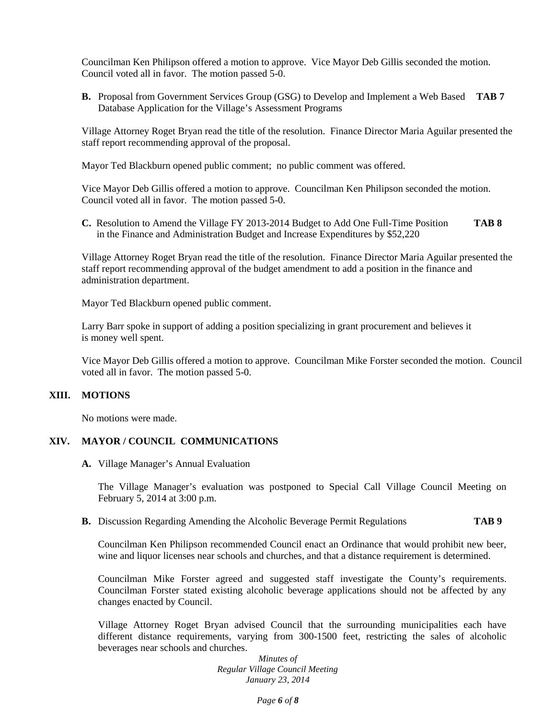Councilman Ken Philipson offered a motion to approve. Vice Mayor Deb Gillis seconded the motion. Council voted all in favor. The motion passed 5-0.

**B.** Proposal from Government Services Group (GSG) to Develop and Implement a Web Based **TAB 7** Database Application for the Village's Assessment Programs

Village Attorney Roget Bryan read the title of the resolution. Finance Director Maria Aguilar presented the staff report recommending approval of the proposal.

Mayor Ted Blackburn opened public comment; no public comment was offered.

Vice Mayor Deb Gillis offered a motion to approve. Councilman Ken Philipson seconded the motion. Council voted all in favor. The motion passed 5-0.

**C.** Resolution to Amend the Village FY 2013-2014 Budget to Add One Full-Time Position **TAB 8** in the Finance and Administration Budget and Increase Expenditures by \$52,220

Village Attorney Roget Bryan read the title of the resolution. Finance Director Maria Aguilar presented the staff report recommending approval of the budget amendment to add a position in the finance and administration department.

Mayor Ted Blackburn opened public comment.

Larry Barr spoke in support of adding a position specializing in grant procurement and believes it is money well spent.

Vice Mayor Deb Gillis offered a motion to approve. Councilman Mike Forster seconded the motion. Council voted all in favor. The motion passed 5-0.

### **XIII. MOTIONS**

No motions were made.

## **XIV. MAYOR / COUNCIL COMMUNICATIONS**

**A.** Village Manager's Annual Evaluation

The Village Manager's evaluation was postponed to Special Call Village Council Meeting on February 5, 2014 at 3:00 p.m.

### **B.** Discussion Regarding Amending the Alcoholic Beverage Permit Regulations **TAB 9**

Councilman Ken Philipson recommended Council enact an Ordinance that would prohibit new beer, wine and liquor licenses near schools and churches, and that a distance requirement is determined.

Councilman Mike Forster agreed and suggested staff investigate the County's requirements. Councilman Forster stated existing alcoholic beverage applications should not be affected by any changes enacted by Council.

Village Attorney Roget Bryan advised Council that the surrounding municipalities each have different distance requirements, varying from 300-1500 feet, restricting the sales of alcoholic beverages near schools and churches.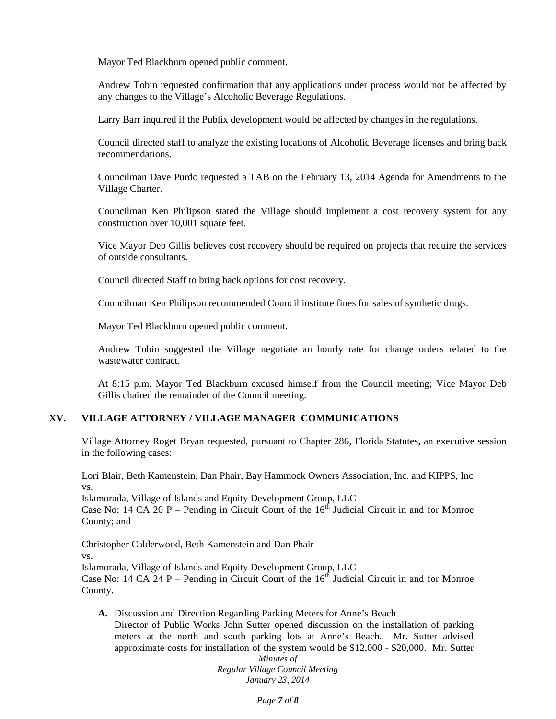Mayor Ted Blackburn opened public comment.

Andrew Tobin requested confirmation that any applications under process would not be affected by any changes to the Village's Alcoholic Beverage Regulations.

Larry Barr inquired if the Publix development would be affected by changes in the regulations.

Council directed staff to analyze the existing locations of Alcoholic Beverage licenses and bring back recommendations.

Councilman Dave Purdo requested a TAB on the February 13, 2014 Agenda for Amendments to the Village Charter.

Councilman Ken Philipson stated the Village should implement a cost recovery system for any construction over 10,001 square feet.

Vice Mayor Deb Gillis believes cost recovery should be required on projects that require the services of outside consultants.

Council directed Staff to bring back options for cost recovery.

Councilman Ken Philipson recommended Council institute fines for sales of synthetic drugs.

Mayor Ted Blackburn opened public comment.

Andrew Tobin suggested the Village negotiate an hourly rate for change orders related to the wastewater contract.

At 8:15 p.m. Mayor Ted Blackburn excused himself from the Council meeting; Vice Mayor Deb Gillis chaired the remainder of the Council meeting.

## **XV. VILLAGE ATTORNEY / VILLAGE MANAGER COMMUNICATIONS**

Village Attorney Roget Bryan requested, pursuant to Chapter 286, Florida Statutes, an executive session in the following cases:

Lori Blair, Beth Kamenstein, Dan Phair, Bay Hammock Owners Association, Inc. and KIPPS, Inc vs.

Islamorada, Village of Islands and Equity Development Group, LLC Case No: 14 CA 20 P – Pending in Circuit Court of the  $16<sup>th</sup>$  Judicial Circuit in and for Monroe County; and

Christopher Calderwood, Beth Kamenstein and Dan Phair vs. Islamorada, Village of Islands and Equity Development Group, LLC Case No: 14 CA 24 P – Pending in Circuit Court of the  $16<sup>th</sup>$  Judicial Circuit in and for Monroe County.

**A.** Discussion and Direction Regarding Parking Meters for Anne's Beach Director of Public Works John Sutter opened discussion on the installation of parking meters at the north and south parking lots at Anne's Beach. Mr. Sutter advised approximate costs for installation of the system would be \$12,000 - \$20,000. Mr. Sutter